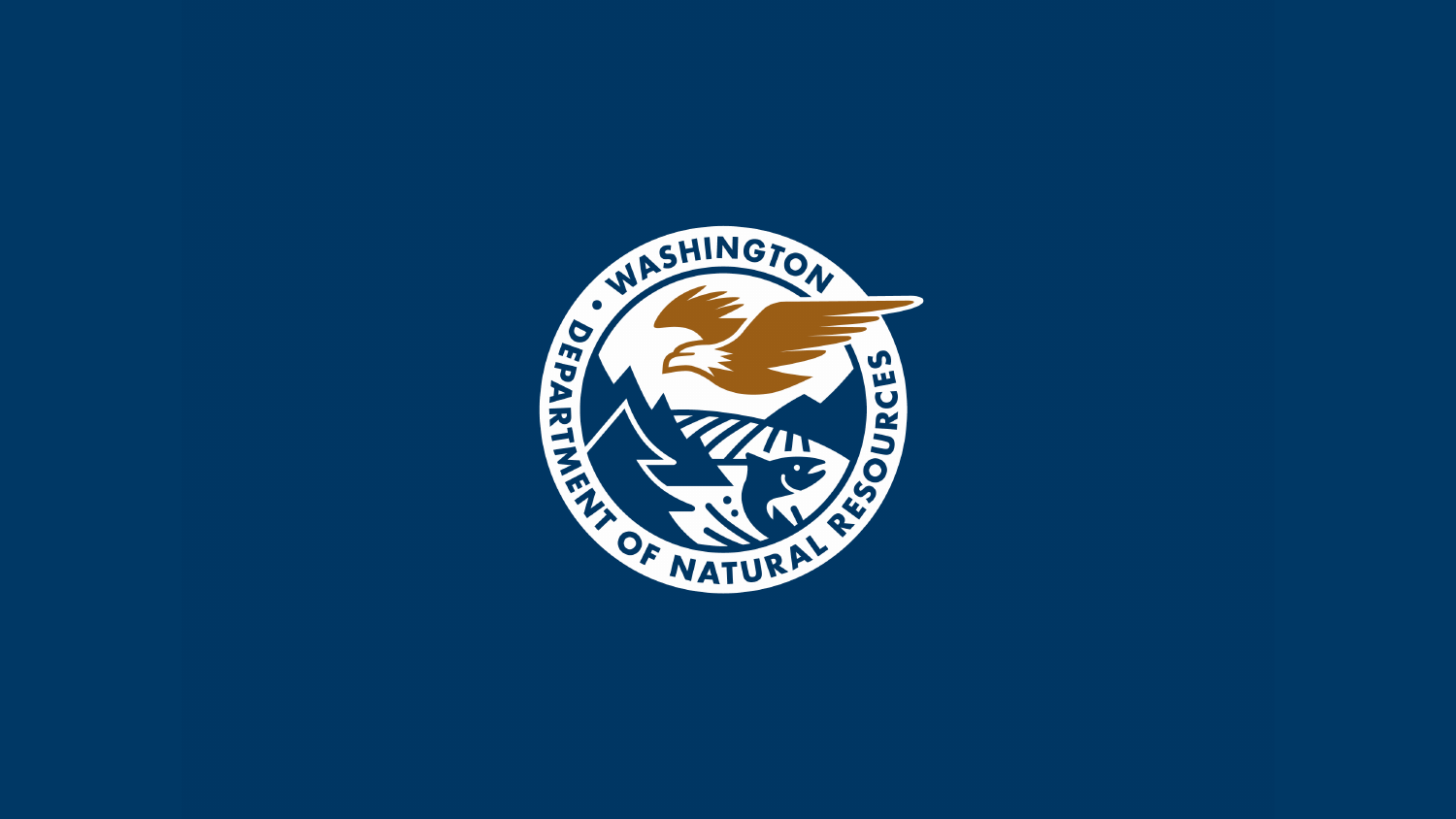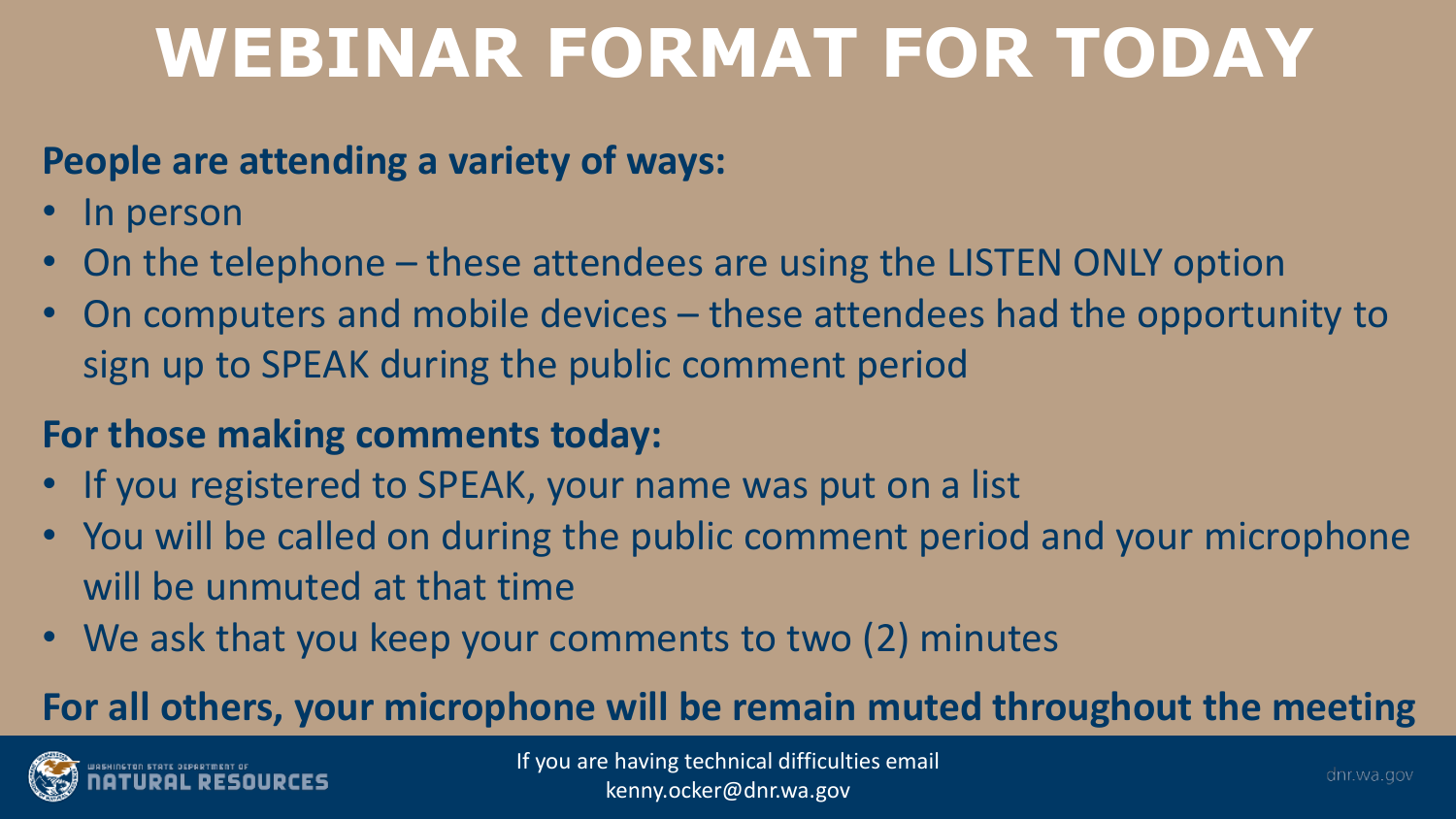### **WEBINAR FORMAT FOR TODAY**

#### **People are attending a variety of ways:**

- In person
- On the telephone these attendees are using the LISTEN ONLY option
- On computers and mobile devices these attendees had the opportunity to sign up to SPEAK during the public comment period

#### **For those making comments today:**

- If you registered to SPEAK, your name was put on a list
- You will be called on during the public comment period and your microphone will be unmuted at that time
- We ask that you keep your comments to two (2) minutes

#### **For all others, your microphone will be remain muted throughout the meeting**

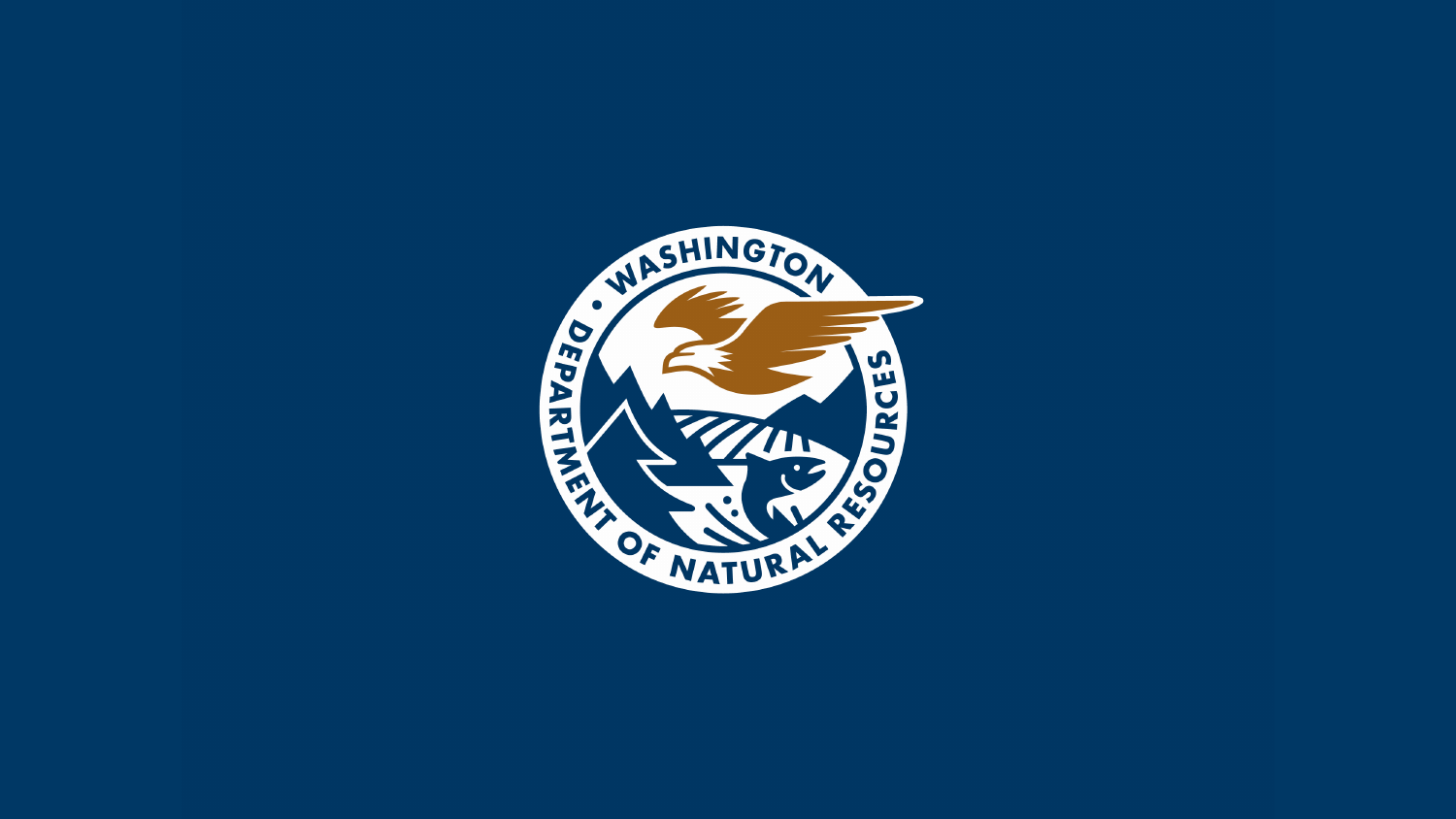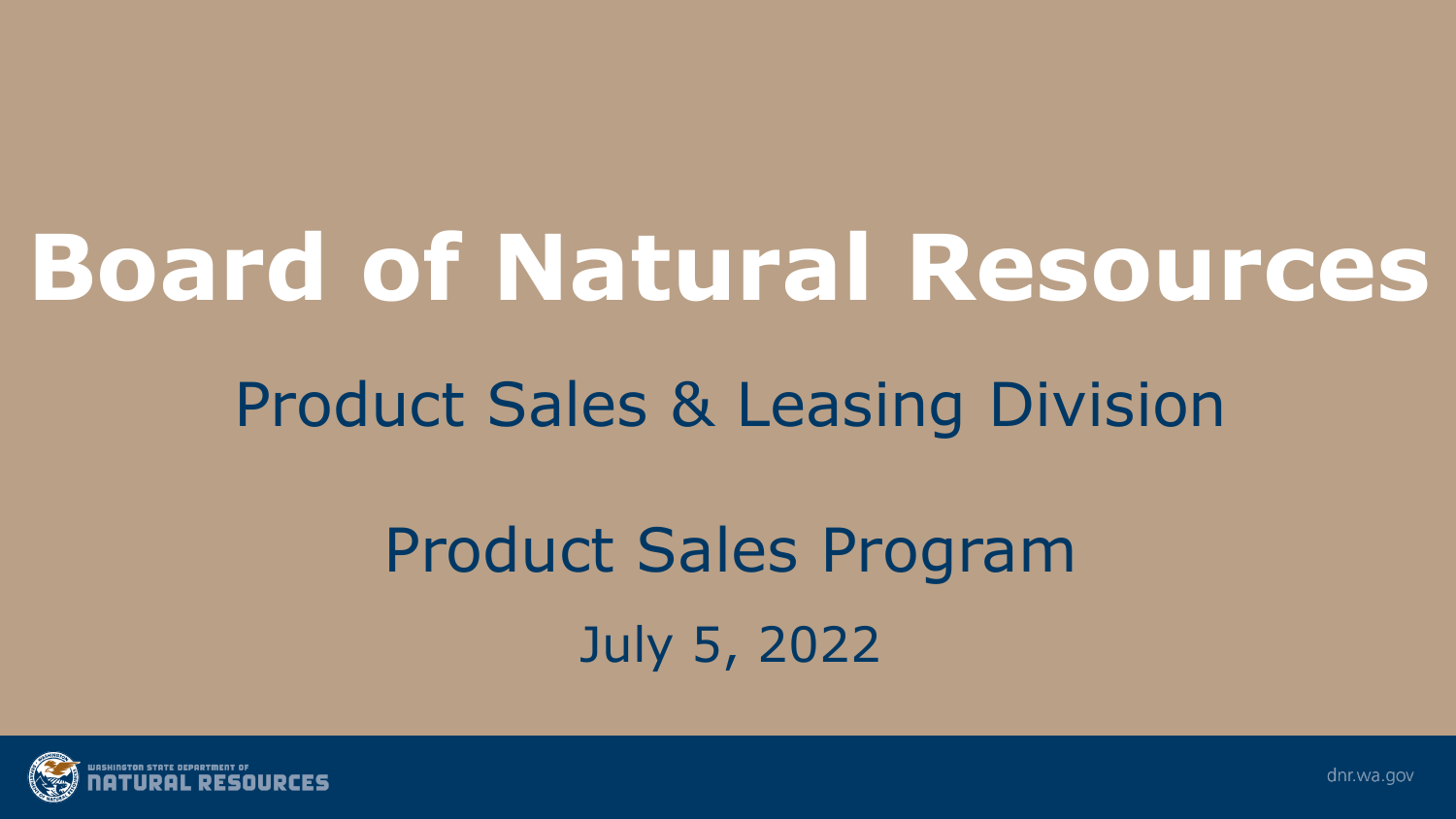## **Board of Natural Resources**

### Product Sales & Leasing Division

## Product Sales Program July 5, 2022

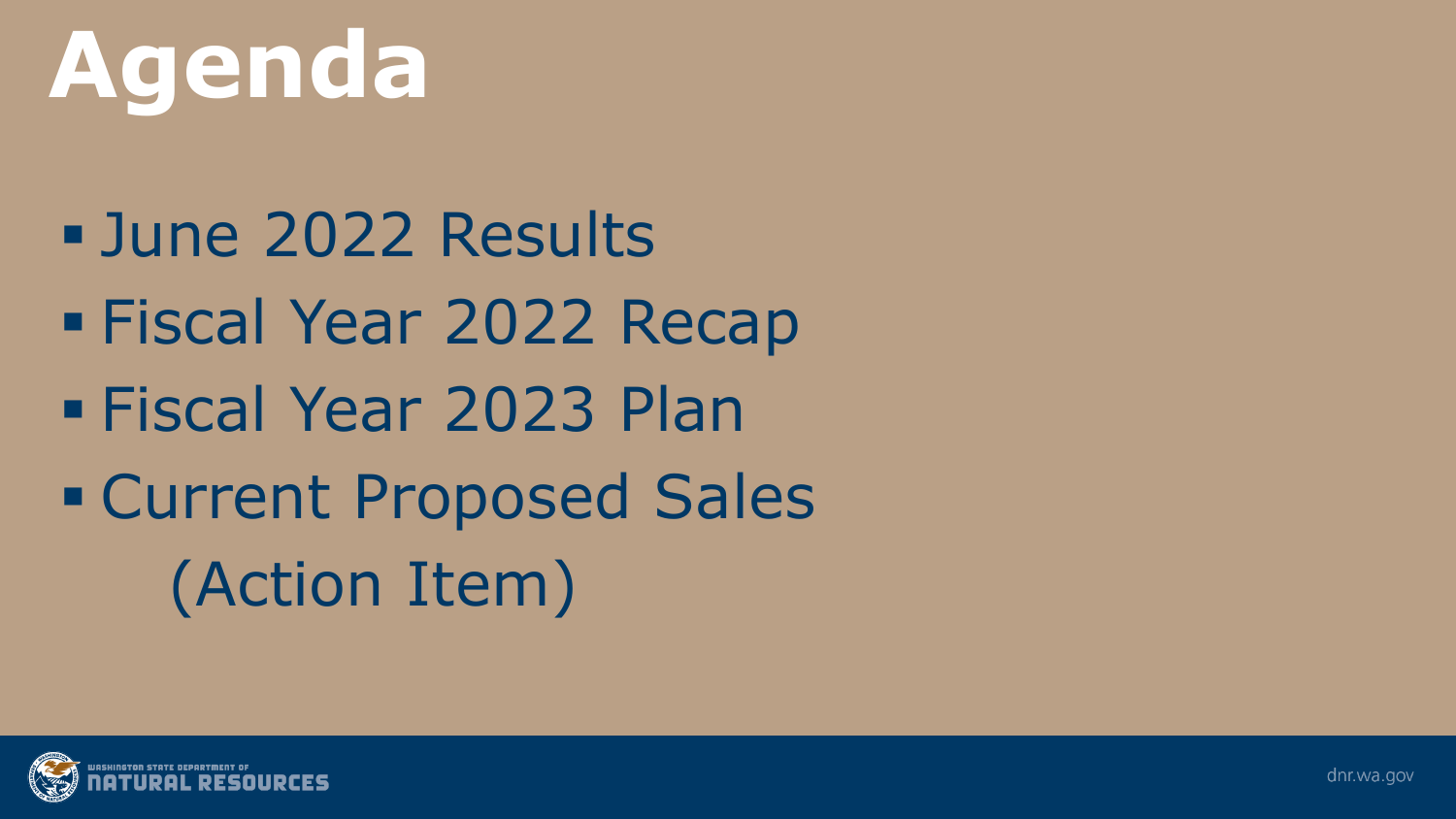# **Agenda**

 June 2022 Results Fiscal Year 2022 Recap Fiscal Year 2023 Plan Current Proposed Sales (Action Item)

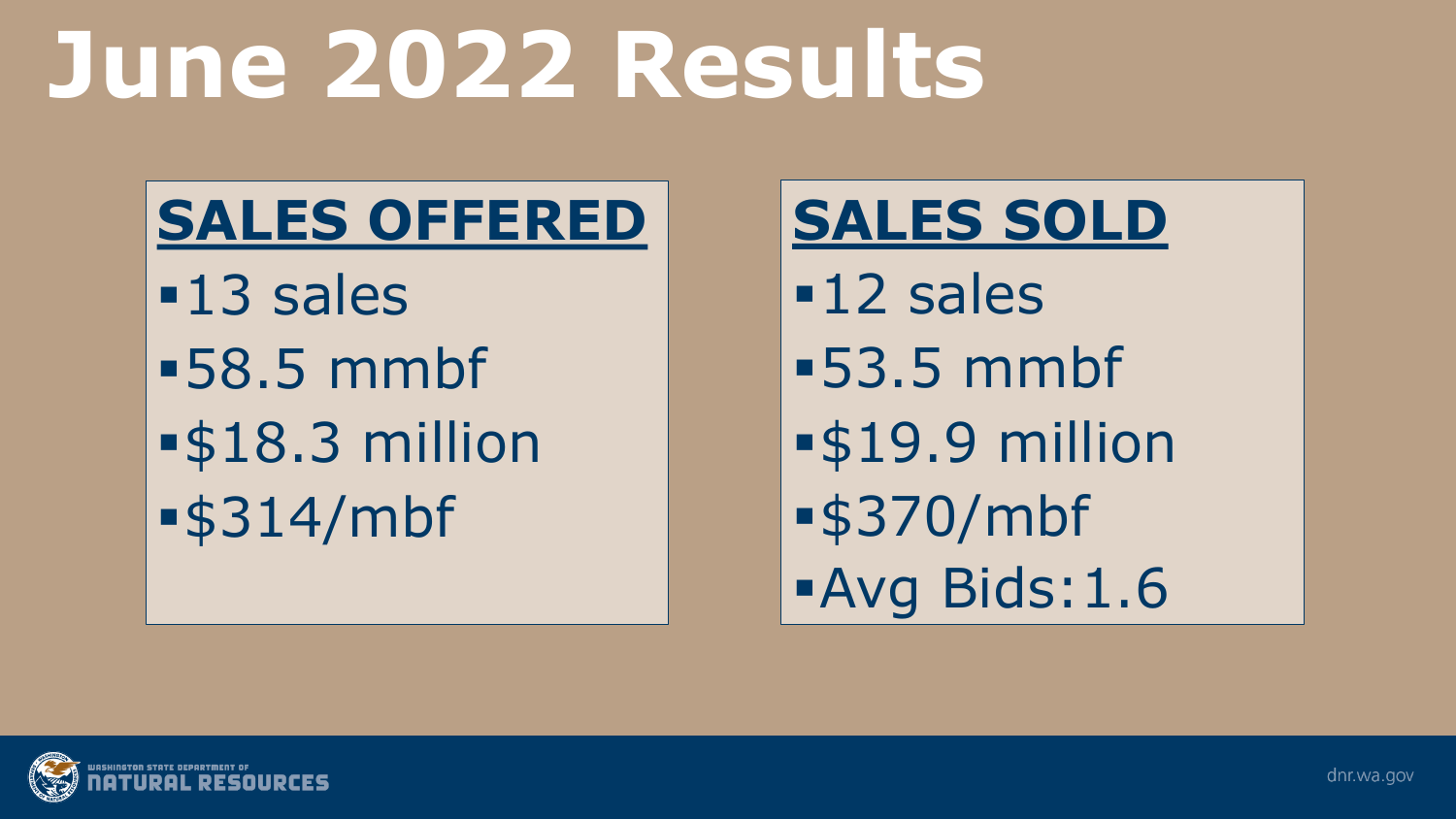## **June 2022 Results**

### **SALES OFFERED**

**-13 sales** 58.5 mmbf \$18.3 million \$314/mbf

#### **SALES SOLD**

**-12 sales** 53.5 mmbf **-\$19.9 million** \$370/mbf Avg Bids:1.6

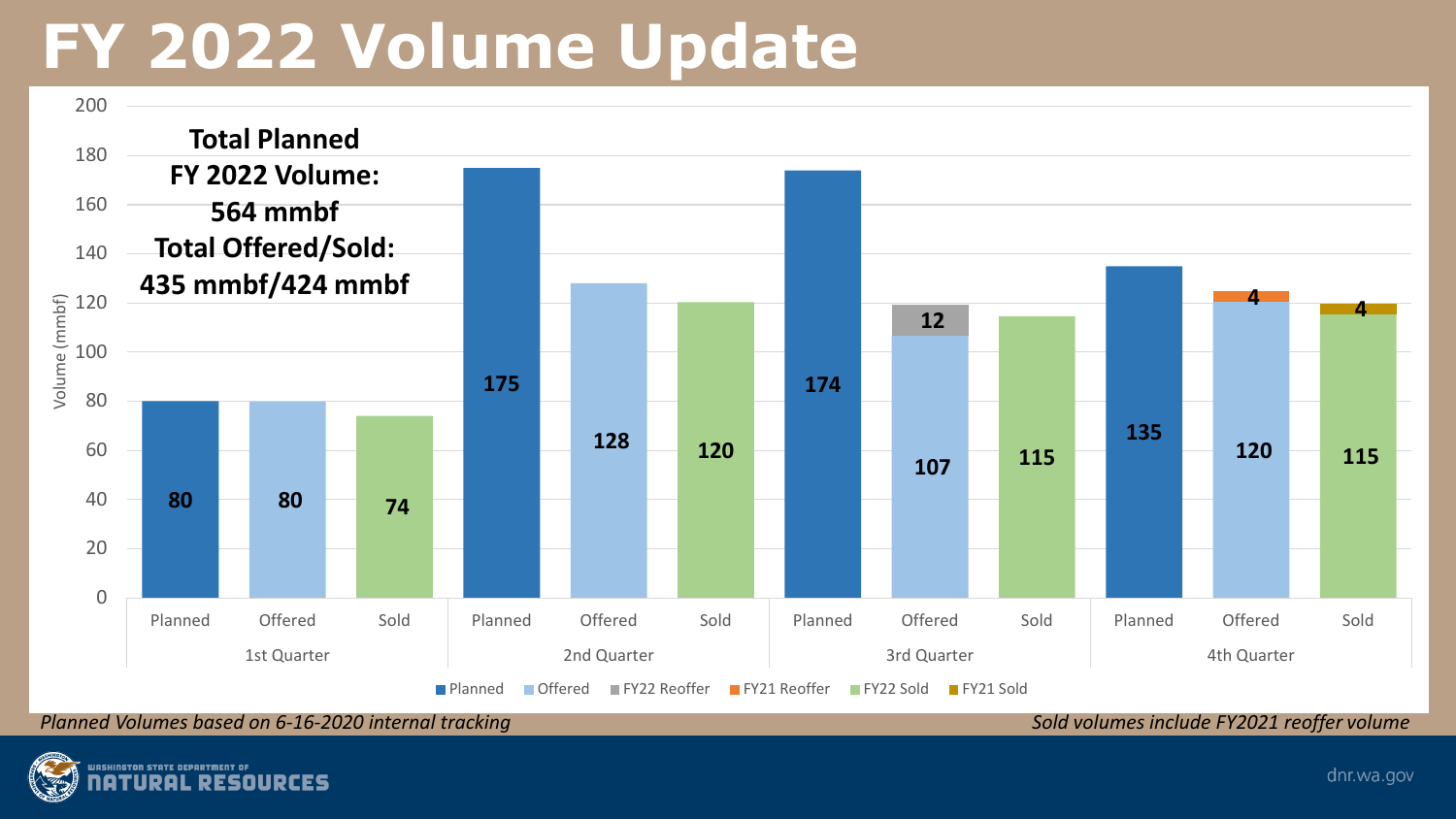### **FY 2022 Volume Update**



*Planned Volumes based on 6-16-2020 internal tracking Sold volumes include FY2021 reoffer volume* 

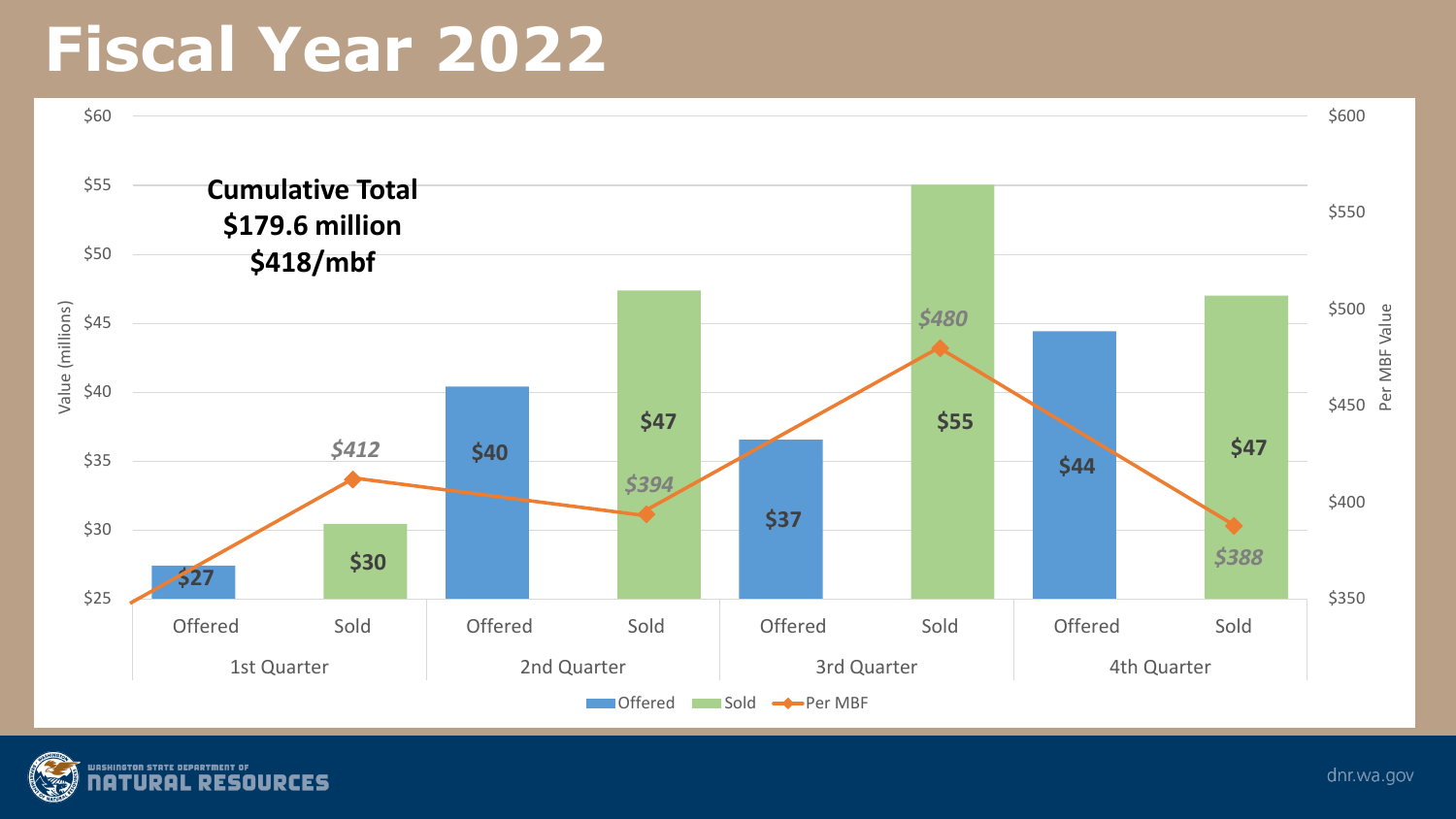### **Fiscal Year 2022**



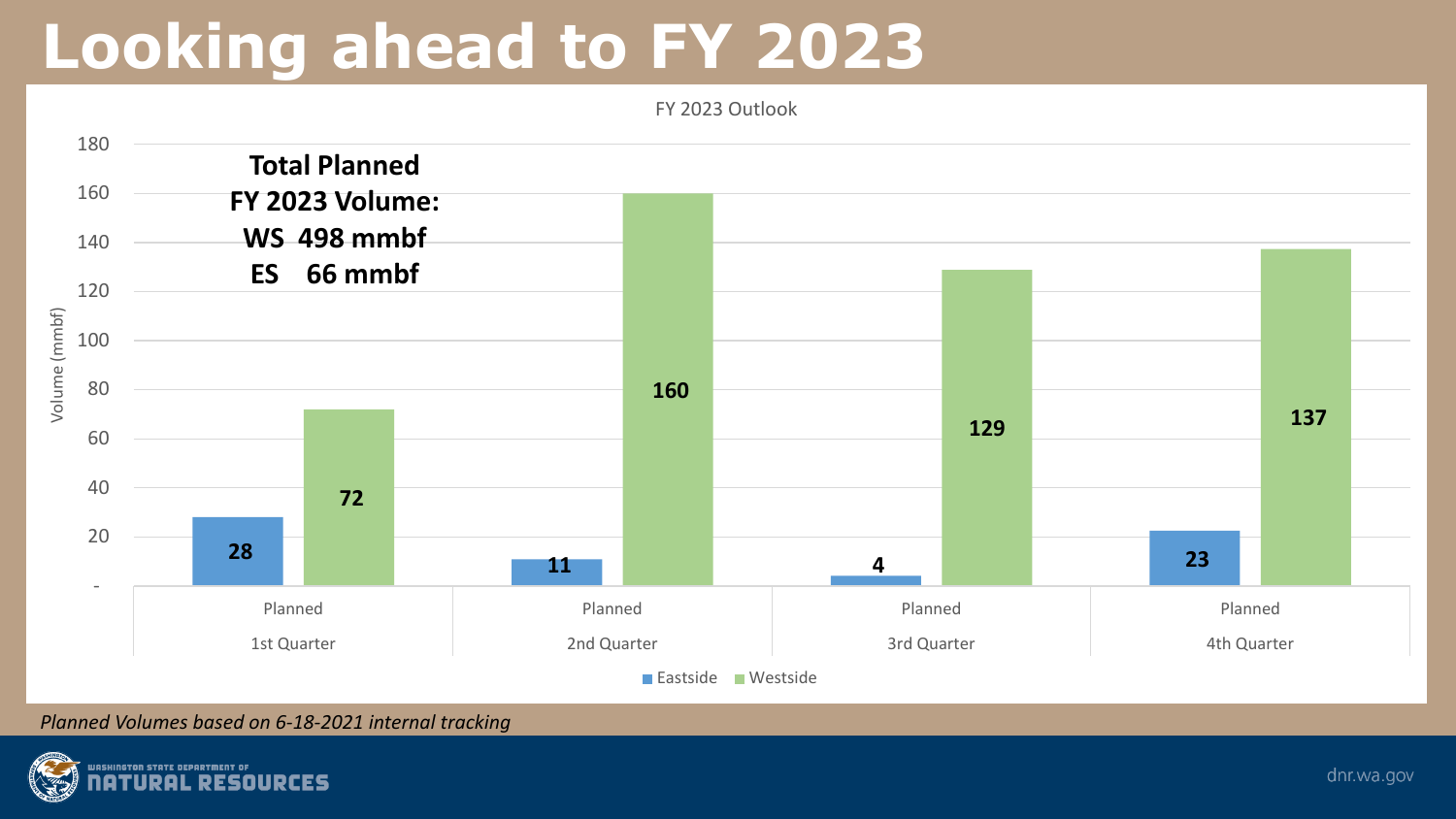### **Looking ahead to FY 2023**



*Planned Volumes based on 6-18-2021 internal tracking*

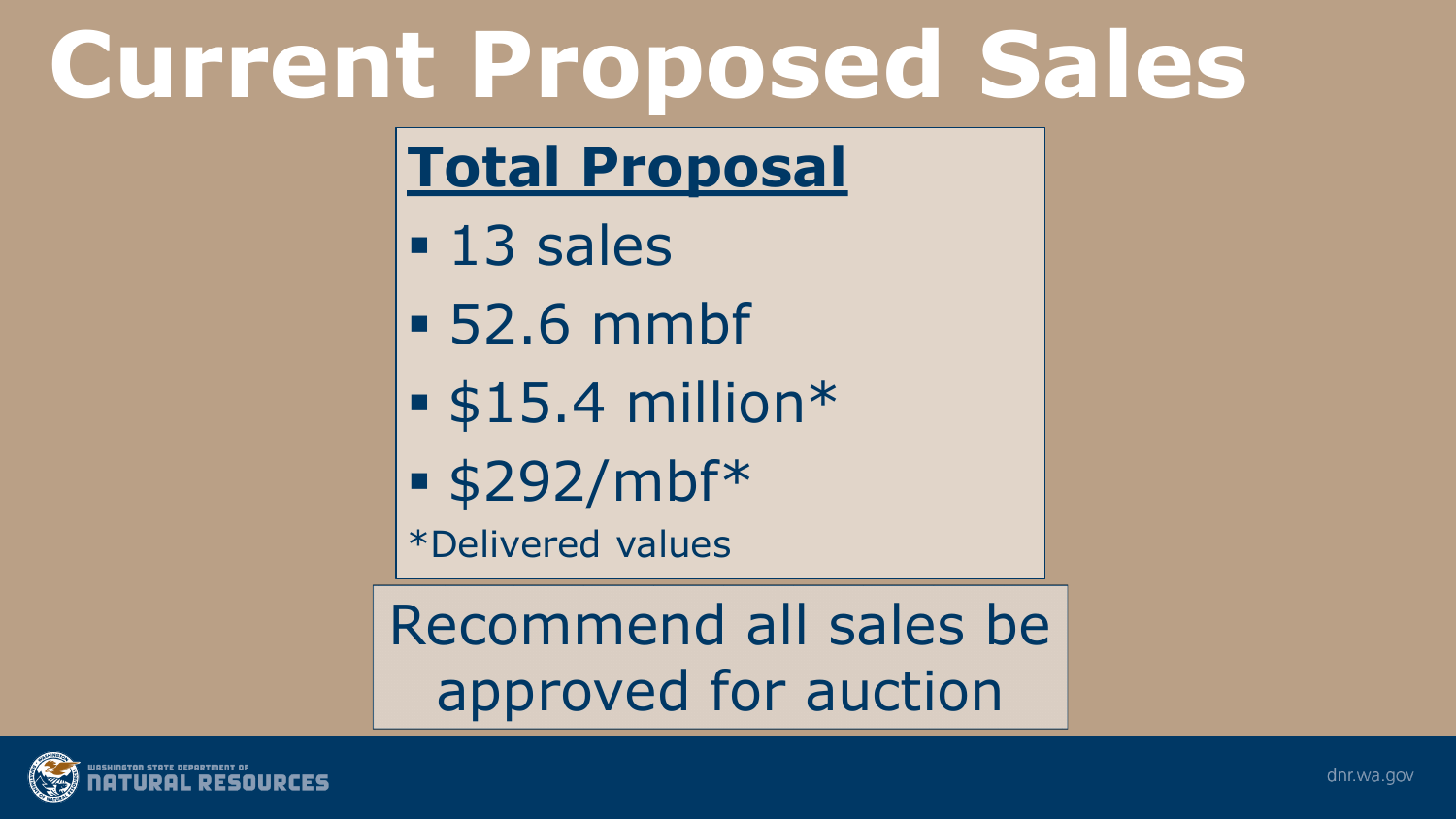# **Current Proposed Sales**

### **Total Proposal**

- **13 sales**
- 52.6 mmbf
- $-$ \$15.4 million\*
- \$292/mbf\*

\*Delivered values

Recommend all sales be approved for auction